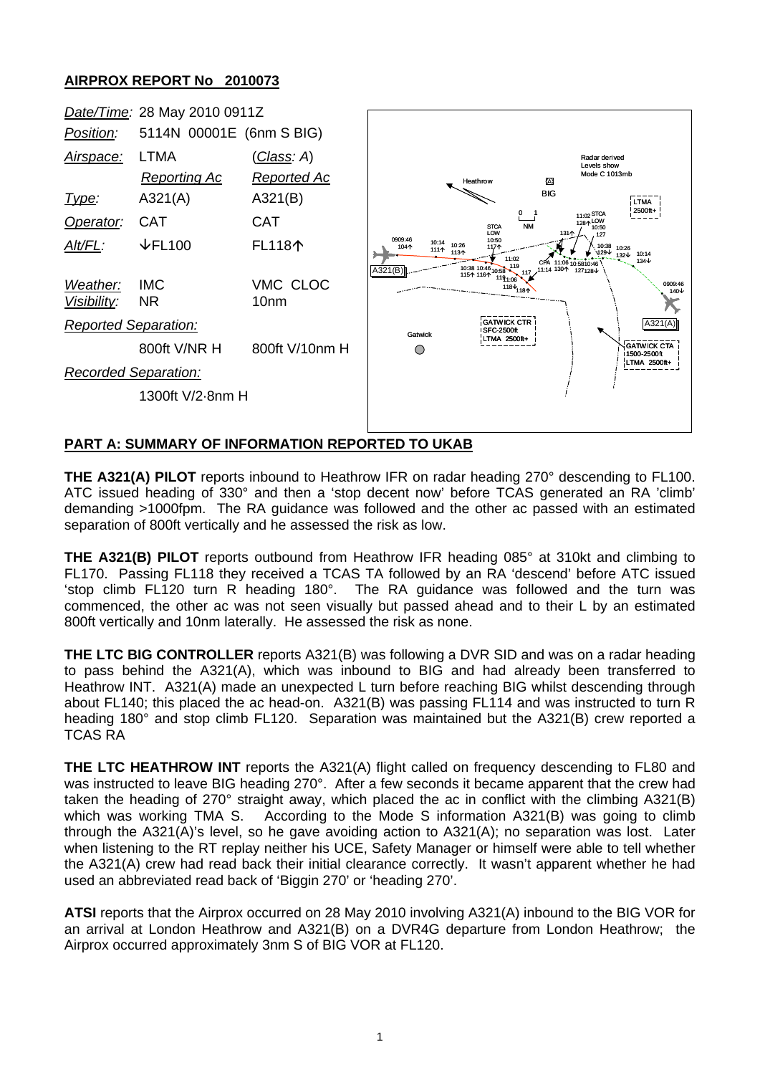## **AIRPROX REPORT No 2010073**



## **PART A: SUMMARY OF INFORMATION REPORTED TO UKAB**

**THE A321(A) PILOT** reports inbound to Heathrow IFR on radar heading 270° descending to FL100. ATC issued heading of 330° and then a 'stop decent now' before TCAS generated an RA 'climb' demanding >1000fpm. The RA guidance was followed and the other ac passed with an estimated separation of 800ft vertically and he assessed the risk as low.

**THE A321(B) PILOT** reports outbound from Heathrow IFR heading 085° at 310kt and climbing to FL170. Passing FL118 they received a TCAS TA followed by an RA 'descend' before ATC issued 'stop climb FL120 turn R heading 180°. The RA guidance was followed and the turn was commenced, the other ac was not seen visually but passed ahead and to their L by an estimated 800ft vertically and 10nm laterally. He assessed the risk as none.

**THE LTC BIG CONTROLLER** reports A321(B) was following a DVR SID and was on a radar heading to pass behind the A321(A), which was inbound to BIG and had already been transferred to Heathrow INT. A321(A) made an unexpected L turn before reaching BIG whilst descending through about FL140; this placed the ac head-on. A321(B) was passing FL114 and was instructed to turn R heading 180° and stop climb FL120. Separation was maintained but the A321(B) crew reported a TCAS RA

**THE LTC HEATHROW INT** reports the A321(A) flight called on frequency descending to FL80 and was instructed to leave BIG heading 270°. After a few seconds it became apparent that the crew had taken the heading of 270° straight away, which placed the ac in conflict with the climbing A321(B) which was working TMA S. According to the Mode S information A321(B) was going to climb through the A321(A)'s level, so he gave avoiding action to A321(A); no separation was lost. Later when listening to the RT replay neither his UCE, Safety Manager or himself were able to tell whether the A321(A) crew had read back their initial clearance correctly. It wasn't apparent whether he had used an abbreviated read back of 'Biggin 270' or 'heading 270'.

**ATSI** reports that the Airprox occurred on 28 May 2010 involving A321(A) inbound to the BIG VOR for an arrival at London Heathrow and A321(B) on a DVR4G departure from London Heathrow; the Airprox occurred approximately 3nm S of BIG VOR at FL120.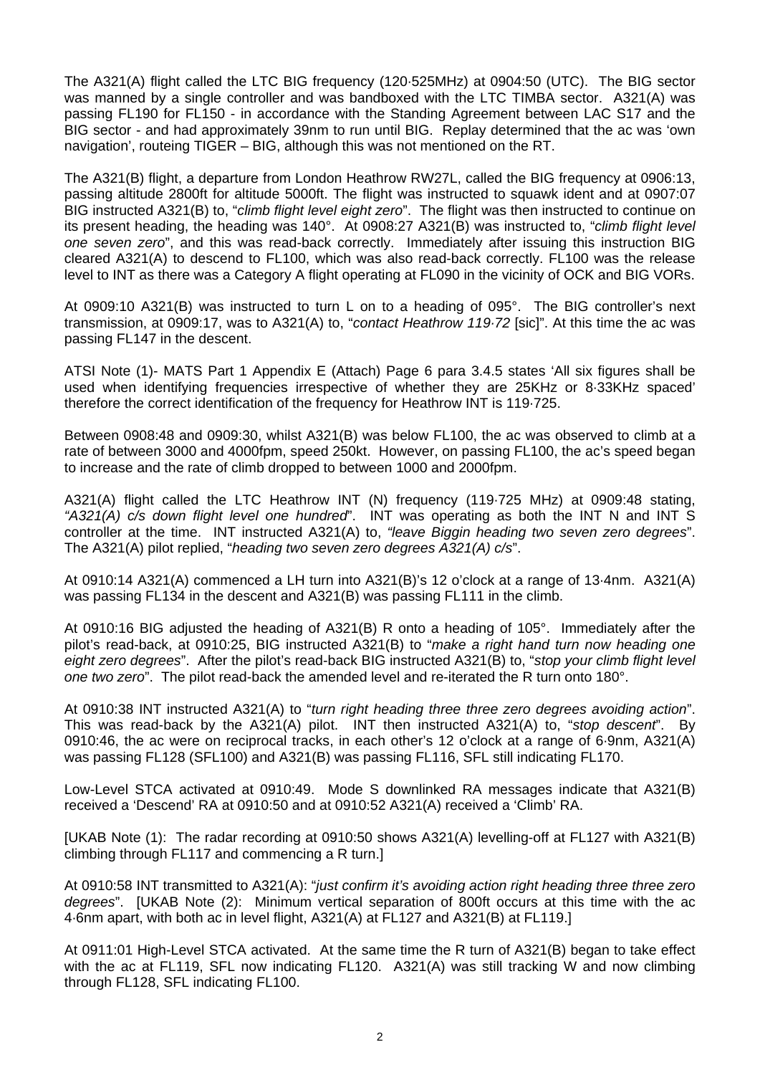The A321(A) flight called the LTC BIG frequency (120·525MHz) at 0904:50 (UTC). The BIG sector was manned by a single controller and was bandboxed with the LTC TIMBA sector. A321(A) was passing FL190 for FL150 - in accordance with the Standing Agreement between LAC S17 and the BIG sector - and had approximately 39nm to run until BIG. Replay determined that the ac was 'own navigation', routeing TIGER – BIG, although this was not mentioned on the RT.

The A321(B) flight, a departure from London Heathrow RW27L, called the BIG frequency at 0906:13, passing altitude 2800ft for altitude 5000ft. The flight was instructed to squawk ident and at 0907:07 BIG instructed A321(B) to, "*climb flight level eight zero*". The flight was then instructed to continue on its present heading, the heading was 140°. At 0908:27 A321(B) was instructed to, "*climb flight level one seven zero*", and this was read-back correctly. Immediately after issuing this instruction BIG cleared A321(A) to descend to FL100, which was also read-back correctly. FL100 was the release level to INT as there was a Category A flight operating at FL090 in the vicinity of OCK and BIG VORs.

At 0909:10 A321(B) was instructed to turn L on to a heading of 095°. The BIG controller's next transmission, at 0909:17, was to A321(A) to, "*contact Heathrow 119·72* [sic]". At this time the ac was passing FL147 in the descent.

ATSI Note (1)- MATS Part 1 Appendix E (Attach) Page 6 para 3.4.5 states 'All six figures shall be used when identifying frequencies irrespective of whether they are 25KHz or 8·33KHz spaced' therefore the correct identification of the frequency for Heathrow INT is 119·725.

Between 0908:48 and 0909:30, whilst A321(B) was below FL100, the ac was observed to climb at a rate of between 3000 and 4000fpm, speed 250kt. However, on passing FL100, the ac's speed began to increase and the rate of climb dropped to between 1000 and 2000fpm.

A321(A) flight called the LTC Heathrow INT (N) frequency (119·725 MHz) at 0909:48 stating, *"A321(A) c/s down flight level one hundred*". INT was operating as both the INT N and INT S controller at the time. INT instructed A321(A) to, *"leave Biggin heading two seven zero degrees*". The A321(A) pilot replied, "*heading two seven zero degrees A321(A) c/s*".

At 0910:14 A321(A) commenced a LH turn into A321(B)'s 12 o'clock at a range of 13·4nm. A321(A) was passing FL134 in the descent and A321(B) was passing FL111 in the climb.

At 0910:16 BIG adjusted the heading of A321(B) R onto a heading of 105°. Immediately after the pilot's read-back, at 0910:25, BIG instructed A321(B) to "*make a right hand turn now heading one eight zero degrees*". After the pilot's read-back BIG instructed A321(B) to, "*stop your climb flight level one two zero*". The pilot read-back the amended level and re-iterated the R turn onto 180°.

At 0910:38 INT instructed A321(A) to "*turn right heading three three zero degrees avoiding action*". This was read-back by the A321(A) pilot. INT then instructed A321(A) to, "*stop descent*". By 0910:46, the ac were on reciprocal tracks, in each other's 12 o'clock at a range of 6·9nm, A321(A) was passing FL128 (SFL100) and A321(B) was passing FL116, SFL still indicating FL170.

Low-Level STCA activated at 0910:49. Mode S downlinked RA messages indicate that A321(B) received a 'Descend' RA at 0910:50 and at 0910:52 A321(A) received a 'Climb' RA.

[UKAB Note (1): The radar recording at 0910:50 shows A321(A) levelling-off at FL127 with A321(B) climbing through FL117 and commencing a R turn.]

At 0910:58 INT transmitted to A321(A): "*just confirm it's avoiding action right heading three three zero degrees*". [UKAB Note (2): Minimum vertical separation of 800ft occurs at this time with the ac 4·6nm apart, with both ac in level flight, A321(A) at FL127 and A321(B) at FL119.]

At 0911:01 High-Level STCA activated. At the same time the R turn of A321(B) began to take effect with the ac at FL119, SFL now indicating FL120. A321(A) was still tracking W and now climbing through FL128, SFL indicating FL100.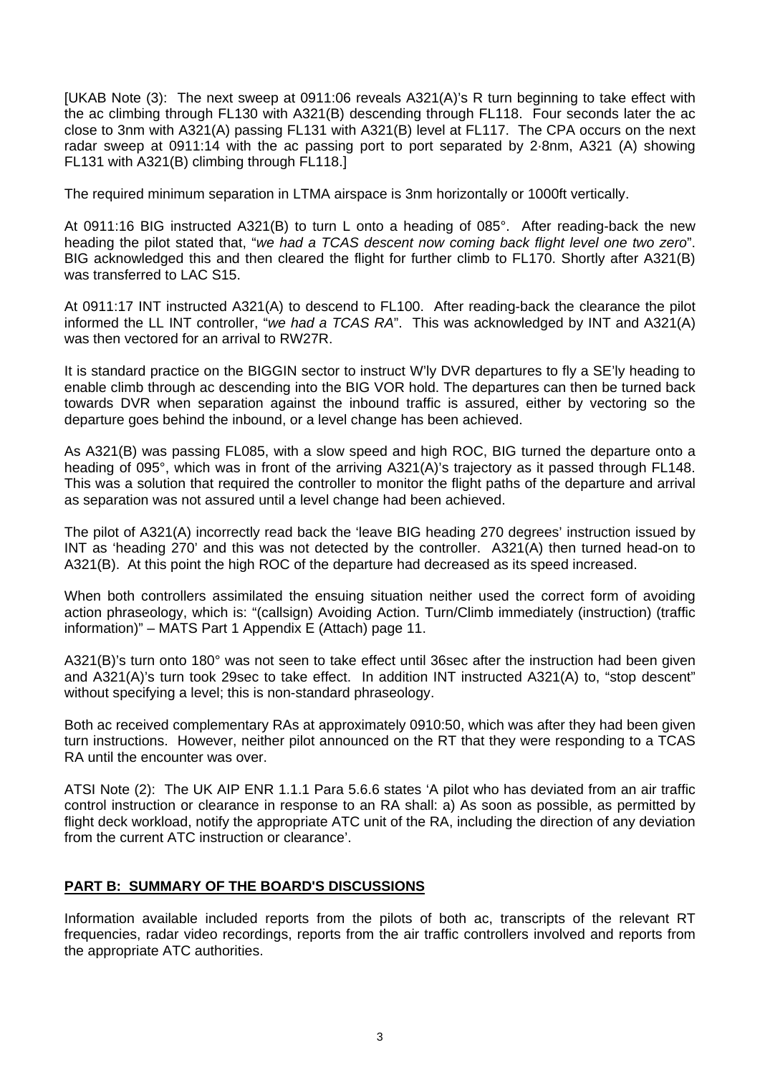[UKAB Note (3): The next sweep at 0911:06 reveals A321(A)'s R turn beginning to take effect with the ac climbing through FL130 with A321(B) descending through FL118. Four seconds later the ac close to 3nm with A321(A) passing FL131 with A321(B) level at FL117. The CPA occurs on the next radar sweep at 0911:14 with the ac passing port to port separated by 2·8nm, A321 (A) showing FL131 with A321(B) climbing through FL118.]

The required minimum separation in LTMA airspace is 3nm horizontally or 1000ft vertically.

At 0911:16 BIG instructed A321(B) to turn L onto a heading of 085°. After reading-back the new heading the pilot stated that, "*we had a TCAS descent now coming back flight level one two zero*". BIG acknowledged this and then cleared the flight for further climb to FL170. Shortly after A321(B) was transferred to LAC S15.

At 0911:17 INT instructed A321(A) to descend to FL100. After reading-back the clearance the pilot informed the LL INT controller, "*we had a TCAS RA*". This was acknowledged by INT and A321(A) was then vectored for an arrival to RW27R.

It is standard practice on the BIGGIN sector to instruct W'ly DVR departures to fly a SE'ly heading to enable climb through ac descending into the BIG VOR hold. The departures can then be turned back towards DVR when separation against the inbound traffic is assured, either by vectoring so the departure goes behind the inbound, or a level change has been achieved.

As A321(B) was passing FL085, with a slow speed and high ROC, BIG turned the departure onto a heading of 095°, which was in front of the arriving A321(A)'s trajectory as it passed through FL148. This was a solution that required the controller to monitor the flight paths of the departure and arrival as separation was not assured until a level change had been achieved.

The pilot of A321(A) incorrectly read back the 'leave BIG heading 270 degrees' instruction issued by INT as 'heading 270' and this was not detected by the controller. A321(A) then turned head-on to A321(B). At this point the high ROC of the departure had decreased as its speed increased.

When both controllers assimilated the ensuing situation neither used the correct form of avoiding action phraseology, which is: "(callsign) Avoiding Action. Turn/Climb immediately (instruction) (traffic information)" – MATS Part 1 Appendix E (Attach) page 11.

A321(B)'s turn onto 180° was not seen to take effect until 36sec after the instruction had been given and A321(A)'s turn took 29sec to take effect. In addition INT instructed A321(A) to, "stop descent" without specifying a level; this is non-standard phraseology.

Both ac received complementary RAs at approximately 0910:50, which was after they had been given turn instructions. However, neither pilot announced on the RT that they were responding to a TCAS RA until the encounter was over.

ATSI Note (2): The UK AIP ENR 1.1.1 Para 5.6.6 states 'A pilot who has deviated from an air traffic control instruction or clearance in response to an RA shall: a) As soon as possible, as permitted by flight deck workload, notify the appropriate ATC unit of the RA, including the direction of any deviation from the current ATC instruction or clearance'.

## **PART B: SUMMARY OF THE BOARD'S DISCUSSIONS**

Information available included reports from the pilots of both ac, transcripts of the relevant RT frequencies, radar video recordings, reports from the air traffic controllers involved and reports from the appropriate ATC authorities.